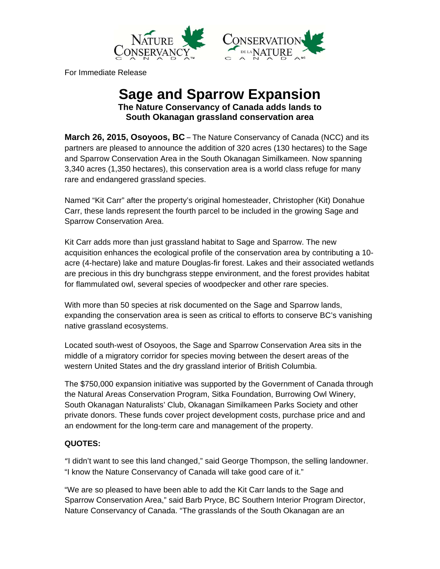



For Immediate Release

# **Sage and Sparrow Expansion The Nature Conservancy of Canada adds lands to South Okanagan grassland conservation area**

**March 26, 2015, Osoyoos, BC** – The Nature Conservancy of Canada (NCC) and its partners are pleased to announce the addition of 320 acres (130 hectares) to the Sage and Sparrow Conservation Area in the South Okanagan Similkameen. Now spanning 3,340 acres (1,350 hectares), this conservation area is a world class refuge for many rare and endangered grassland species.

Named "Kit Carr" after the property's original homesteader, Christopher (Kit) Donahue Carr, these lands represent the fourth parcel to be included in the growing Sage and Sparrow Conservation Area.

Kit Carr adds more than just grassland habitat to Sage and Sparrow. The new acquisition enhances the ecological profile of the conservation area by contributing a 10 acre (4-hectare) lake and mature Douglas-fir forest. Lakes and their associated wetlands are precious in this dry bunchgrass steppe environment, and the forest provides habitat for flammulated owl, several species of woodpecker and other rare species.

With more than 50 species at risk documented on the Sage and Sparrow lands, expanding the conservation area is seen as critical to efforts to conserve BC's vanishing native grassland ecosystems.

Located south-west of Osoyoos, the Sage and Sparrow Conservation Area sits in the middle of a migratory corridor for species moving between the desert areas of the western United States and the dry grassland interior of British Columbia.

The \$750,000 expansion initiative was supported by the Government of Canada through the Natural Areas Conservation Program, Sitka Foundation, Burrowing Owl Winery, South Okanagan Naturalists' Club, Okanagan Similkameen Parks Society and other private donors. These funds cover project development costs, purchase price and and an endowment for the long-term care and management of the property.

# **QUOTES:**

"I didn't want to see this land changed," said George Thompson, the selling landowner. "I know the Nature Conservancy of Canada will take good care of it."

"We are so pleased to have been able to add the Kit Carr lands to the Sage and Sparrow Conservation Area," said Barb Pryce, BC Southern Interior Program Director, Nature Conservancy of Canada. "The grasslands of the South Okanagan are an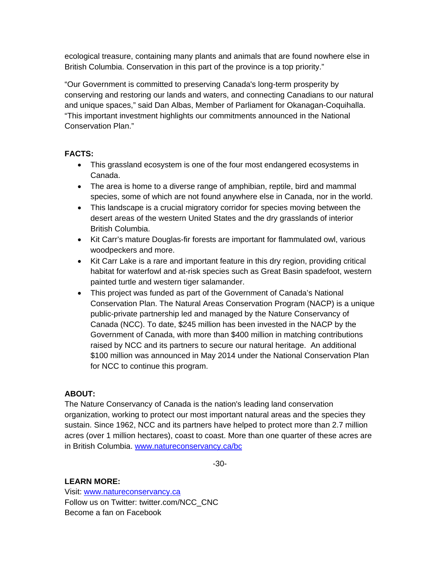ecological treasure, containing many plants and animals that are found nowhere else in British Columbia. Conservation in this part of the province is a top priority."

"Our Government is committed to preserving Canada's long-term prosperity by conserving and restoring our lands and waters, and connecting Canadians to our natural and unique spaces," said Dan Albas, Member of Parliament for Okanagan-Coquihalla. "This important investment highlights our commitments announced in the National Conservation Plan."

### **FACTS:**

- This grassland ecosystem is one of the four most endangered ecosystems in Canada.
- The area is home to a diverse range of amphibian, reptile, bird and mammal species, some of which are not found anywhere else in Canada, nor in the world.
- This landscape is a crucial migratory corridor for species moving between the desert areas of the western United States and the dry grasslands of interior British Columbia.
- Kit Carr's mature Douglas-fir forests are important for flammulated owl, various woodpeckers and more.
- Kit Carr Lake is a rare and important feature in this dry region, providing critical habitat for waterfowl and at-risk species such as Great Basin spadefoot, western painted turtle and western tiger salamander.
- This project was funded as part of the Government of Canada's National Conservation Plan. The Natural Areas Conservation Program (NACP) is a unique public-private partnership led and managed by the Nature Conservancy of Canada (NCC). To date, \$245 million has been invested in the NACP by the Government of Canada, with more than \$400 million in matching contributions raised by NCC and its partners to secure our natural heritage. An additional \$100 million was announced in May 2014 under the National Conservation Plan for NCC to continue this program.

# **ABOUT:**

The Nature Conservancy of Canada is the nation's leading land conservation organization, working to protect our most important natural areas and the species they sustain. Since 1962, NCC and its partners have helped to protect more than 2.7 million acres (over 1 million hectares), coast to coast. More than one quarter of these acres are in British Columbia. www.natureconservancy.ca/bc

-30-

# **LEARN MORE:**

Visit: www.natureconservancy.ca Follow us on Twitter: twitter.com/NCC\_CNC Become a fan on Facebook